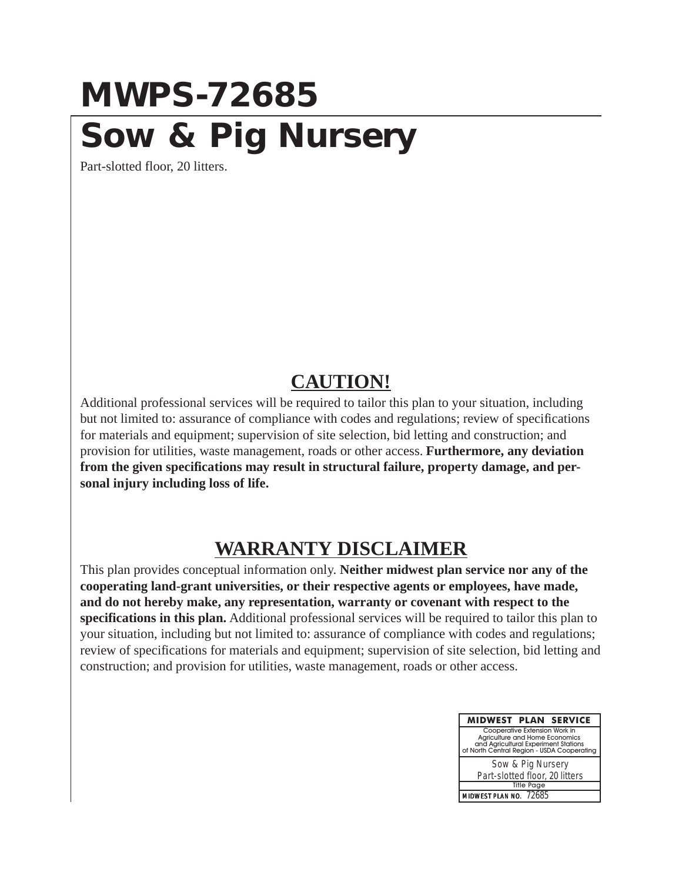### **MWPS-72685 Sow & Pig Nursery**

Part-slotted floor, 20 litters.

### **CAUTION!**

Additional professional services will be required to tailor this plan to your situation, including but not limited to: assurance of compliance with codes and regulations; review of specifications for materials and equipment; supervision of site selection, bid letting and construction; and provision for utilities, waste management, roads or other access. **Furthermore, any deviation from the given specifications may result in structural failure, property damage, and personal injury including loss of life.**

### **WARRANTY DISCLAIMER**

This plan provides conceptual information only. **Neither midwest plan service nor any of the cooperating land-grant universities, or their respective agents or employees, have made, and do not hereby make, any representation, warranty or covenant with respect to the specifications in this plan.** Additional professional services will be required to tailor this plan to your situation, including but not limited to: assurance of compliance with codes and regulations; review of specifications for materials and equipment; supervision of site selection, bid letting and construction; and provision for utilities, waste management, roads or other access.

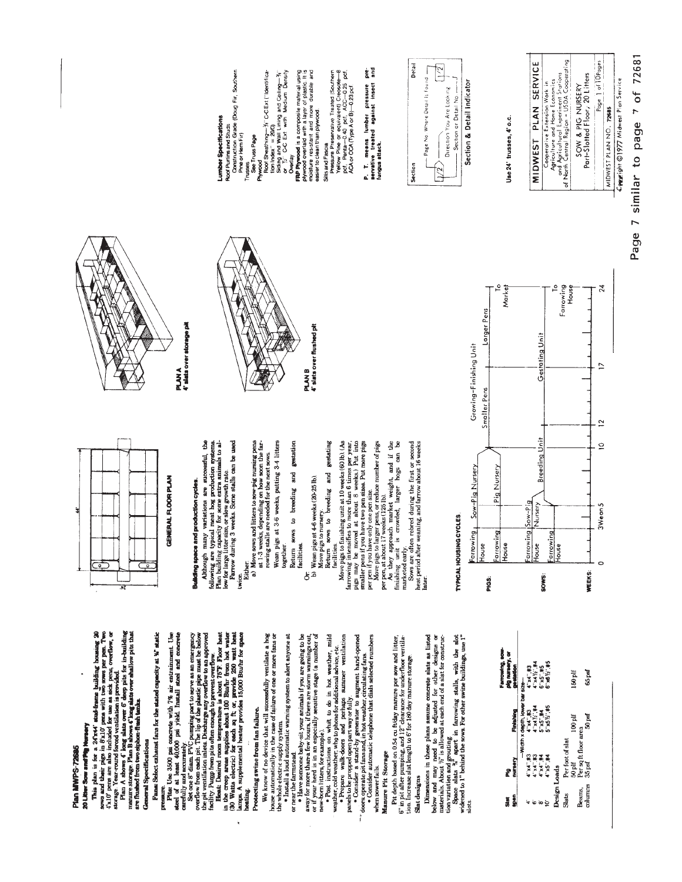Plan MWPS-72685

## 20 Litter Scou and Ply Mursery

This plan is for a 26 TeV students building bousing 20<br> $30\%$  per a see also included parts with see and per per near Two<br>45.10 per a see also included press with persons per per. Two<br>storage Year-round forced ventilation

General Specifications

# Fans: Select exhaust fans for the stated capacity at W static

pressure.

Press. Use 3500 pai concrete with  $7\%$  air entrainment. Use  $4\%$  and  $4$  at least 4600 pai concrete build  $7\%$  air entrainment. Use  $4\%$  are  $4$  at least 4600 pai yield. Install atest and concrete capper,  $3\%$  one  $5$ 

## Protecting swine from fan failure.

We know of no device that will successfully ventilate a hog

house automatically in the case of failure of one or more fans or<br>the whole electric supply system.<br>• Install a loud automatic warning system to alert anyone at

or near the farmstead.

. Fikewe someone beloy-sit your animals if you are going to be<br>away for more than a few hours, if there are storm warnings out,<br>or if your herd is in an especially sensitive stage (a number of<br>new Pest instructions on wha

• Prepare walk-doors and perhaps summer ventilation<br>panels to be propped open part way or fully.<br>panels to be propped open part way or fully.<br>cors operator is fazant-by greenstar to arrunating fans.<br>cors operator automatic

when power fails.

## Manure Pit Storage

Pit depth based on 0.54 cu ft/day manure per sow and litter,<br>6" in pit after pumping, and 12" clearance for underfloor ventilation.<br>tion. Increase slat length to 6" for 130 day manure storage.

### Slat designs

Dimensions in these plans assume concrete slats as listed below and may need to be adjusted for other designs or materials. About  $\hat{y}$  is allowed at each end of a slat for constructuation

tion variation and grouting.<br>Space slats  $\frac{N}{N}$  apart in farrowing stalls, with the alot<br>widened to 1" behind the sows. For other swine buildings, use 1"

| Farrowing, sow-<br>pig nursery, or<br><b>Seat</b> |                                 |          | 4"x4",#3<br>4"x41/2",#4 | 6"x5"#5        | 6"x612"#5 |              |                  |           |                      | 65 pef  |
|---------------------------------------------------|---------------------------------|----------|-------------------------|----------------|-----------|--------------|------------------|-----------|----------------------|---------|
| ti<br>8                                           |                                 |          |                         |                |           |              |                  | 150 plf   |                      |         |
| Finishing                                         | -Width x depth, lower bar size- | 4.3      | $\frac{1}{2}$           | <b>S'x5'.#</b> | 5"x5%"    |              |                  | $100$ plf |                      | 50 pef  |
| maraery<br>£                                      |                                 | 4"x4".#3 | 4"x4".#3                | 4" x4" #4      | 4"x5",#4  |              | Per foot of slat | $50$ plf  | Per sq ft floor area | 35 psf  |
| į<br>葛房                                           |                                 |          |                         | ίю             |           | Design Loads | Slats            |           | Beams,               | entumus |



## Building space and production cycles.

Although many variations are successful, the following are typical meat hog production systems.<br>Flan building capacity for some extra animals to al-<br>Flan building capacity for some extra animals to al-<br>formw during 3 week

twice.<br>Either:

a) Move sows and litters to sow-pig nursing pens at  $1.3$  weeks, depending on how soon the farrowing stalls are needed for the next sows. Wean pigs at 3-6 weeks, putting 3-4 litters<br>together.

Return sows to breeding and gestation facilities.

Or Wean pigs at 4-6 weeks  $(20-25 \text{ lb})$ .<br>Move pigs to nursery.<br>Move pigs to nursery.

facilities.<br>Move pigs to finishing unit at 10 weeks (60 lb). (As sows to breeding and gestating Return

farrowing intensifies to more than 6 times per year,<br>pigs may be moved at about 8 weeks.) Put into<br>smaller pens if you have two pen sizes. Put more pigs

per pen if you have only one pen size.<br>Move pigs to larger pens, or reduce number of pigs<br>per at a tout 17 weeks the telephy.<br>As that we apply a state of the weight, and if the<br>finishing unit is crowded, larger hogs can be

finishing unit<br>marketed early.

Sows are often rebred during the first or second heat period after weaning, and farrow about 16 weeks<br>later.

PLAN A<br>4' sists over storage pit



Roof Purins and Studs<br>Construction Grade (Doug Fir, Southern<br>Pine or Hem Fir)

Trusses<br>See Truss Page

Phywood

umber Specifications

Roof Sheathing— $\frac{2}{3}$ i C-CExt ["Identifica-<br>tion Index" = 200) Siding and Wall Lining and Ceiling $-\frac{y_i}{2}$ <br>or  $y_i$ . C-C Ext. with Medium Density

4' slats over flushed pit

**FRP Phywood** is a composite material using<br>plywood overlaid with a layer of plastic. It is<br>moisture resistant and more durable and<br>easier to clean than plywood.

**Deerlay** 





P. T. means lumber pressure pre-<br>servative treated against insect and<br>fungus.attack.

Pressure Preservative Treated (Southern<br>Yellow Pine or equivalent) Creosote—8<br>pdf, Penta—0.40 pdf, ACC—0.25 pdf,<br>ACA or CCA (Type A or B)—0.23 pdf.

Sills and Fascia



Page 7 similar to page 7 of 72681 Compright ©1977 Midwest Plan Service

Cooperative Extension Work in<br>and province and Home Economics<br>of North Central Region – USDA Cooperating<br>of North Central Region – USDA Cooperating Page 1 of 10Pages Part-Slotted Floor, 20 Litters SOW & PIG NURSERY MIDWEST PLAN NO. 72685

## Use 24" trusses, 4" o.c.

MIDWEST PLAN SERVICE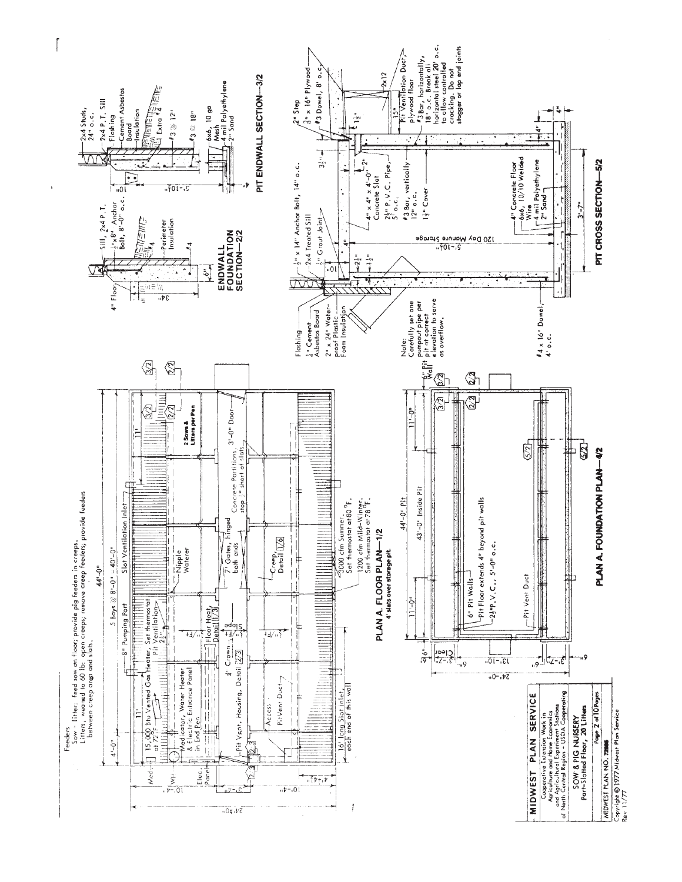

 $\left\lceil \right\rceil$ 

ï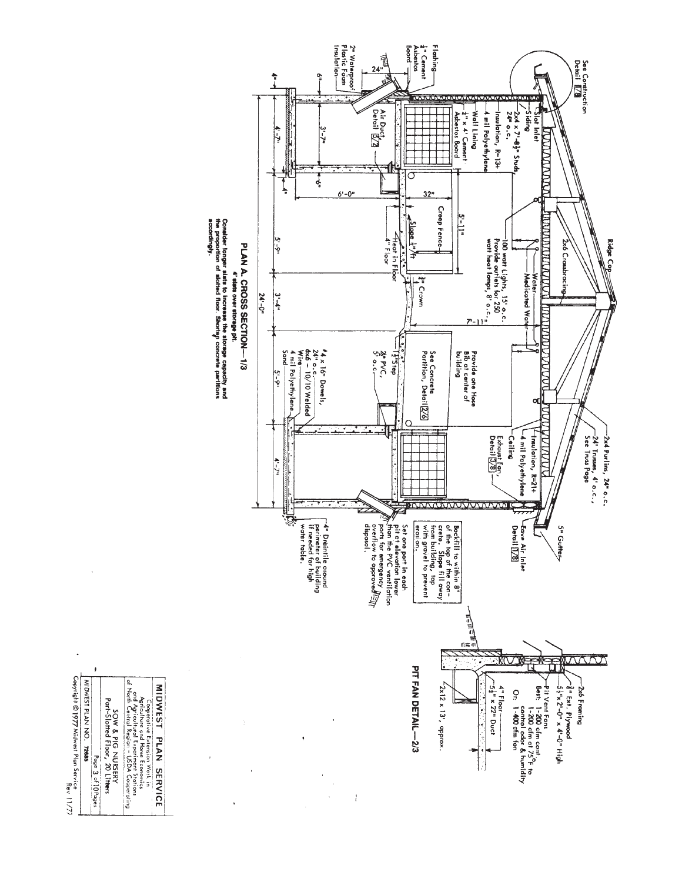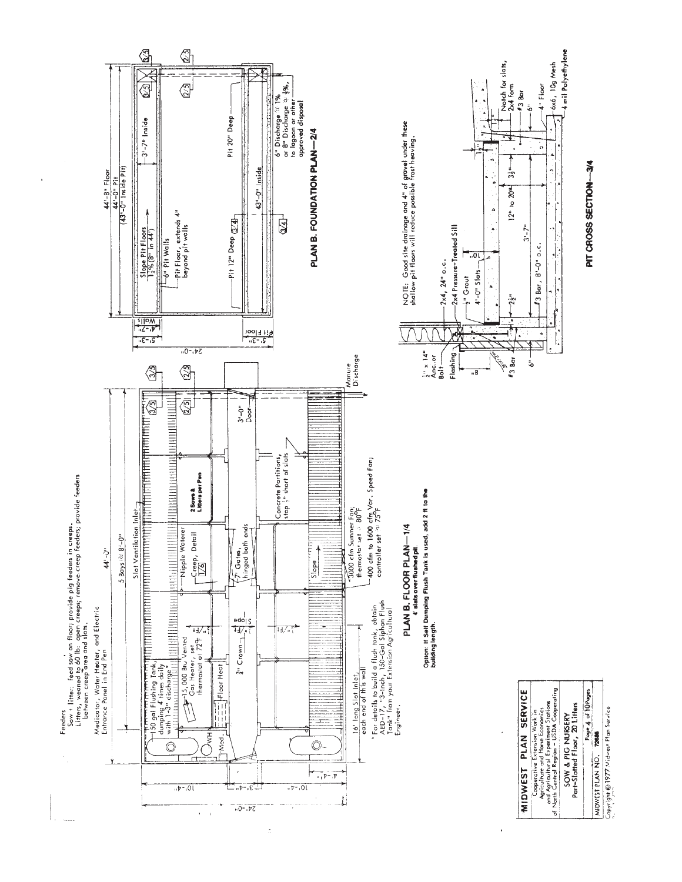

ż

Copyright @1977 Midwest Plan Service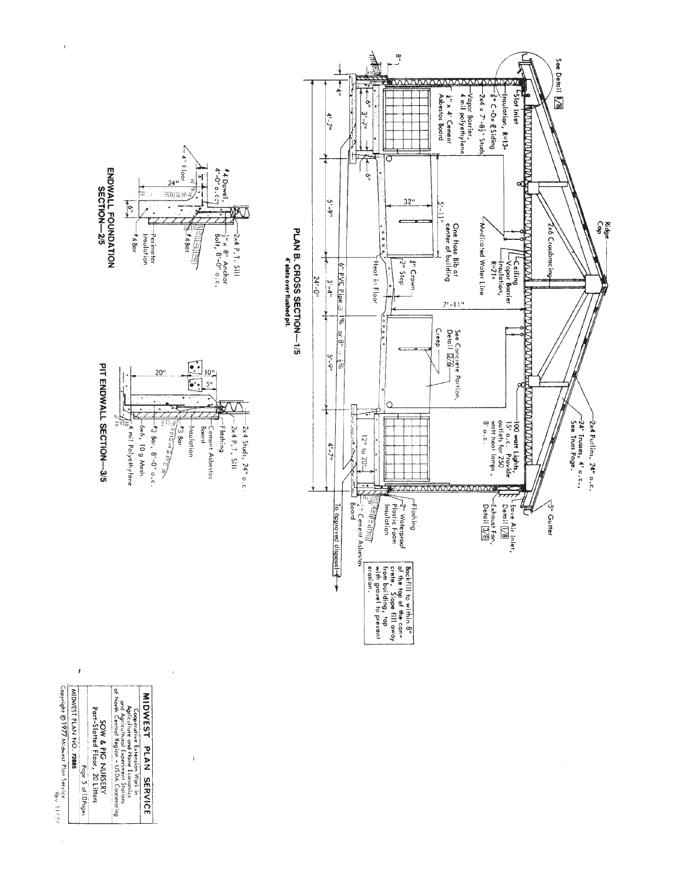

 $\ddot{\phantom{1}}$ 

| murricanon | 1977 Midwest Plan Service<br>| Copyright © 1977 Midwest Plan Service MIDWEST PLAN NO. 72685 Page 5 of 10 Pages

j

 $\bar{t}$ 

SOW & PIG NURSERY<br>Part-Slotted Floor, 20 Litters

Cooperative Extension Wark in Application of the Second Agricultural Experiment Stations<br>Anglicultural Experiment Stations<br>and Agricultural Experiment Stations<br>of North Central Region – USDA Cooperating MIDWEST PLAN SERVICE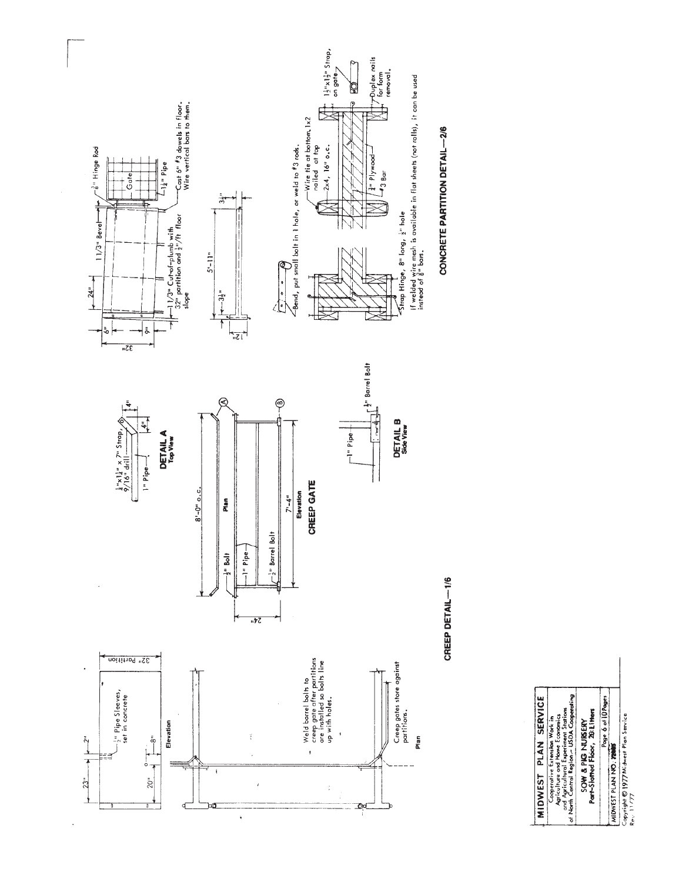

 $\ddot{\phantom{a}}$ 

 $\ddot{\phantom{a}}$ 

CREEP DETAIL-1/6

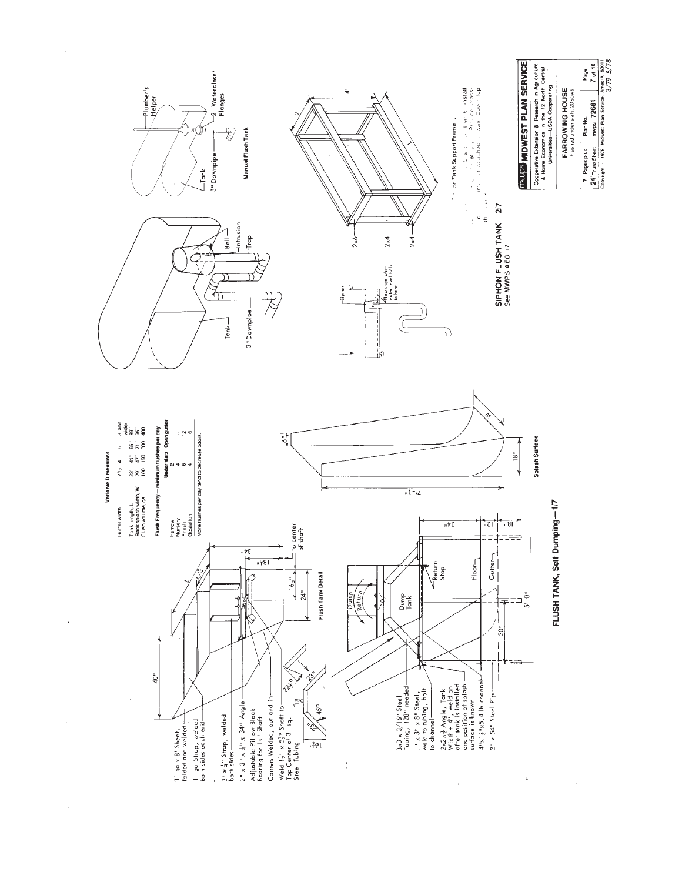